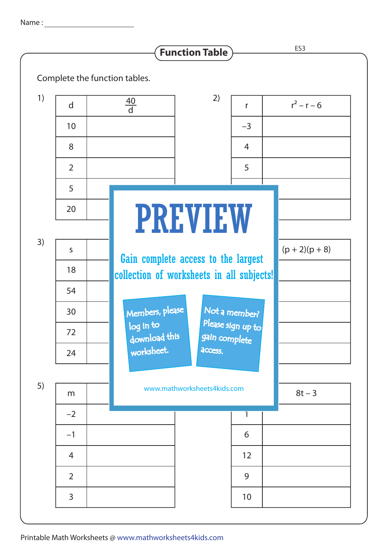